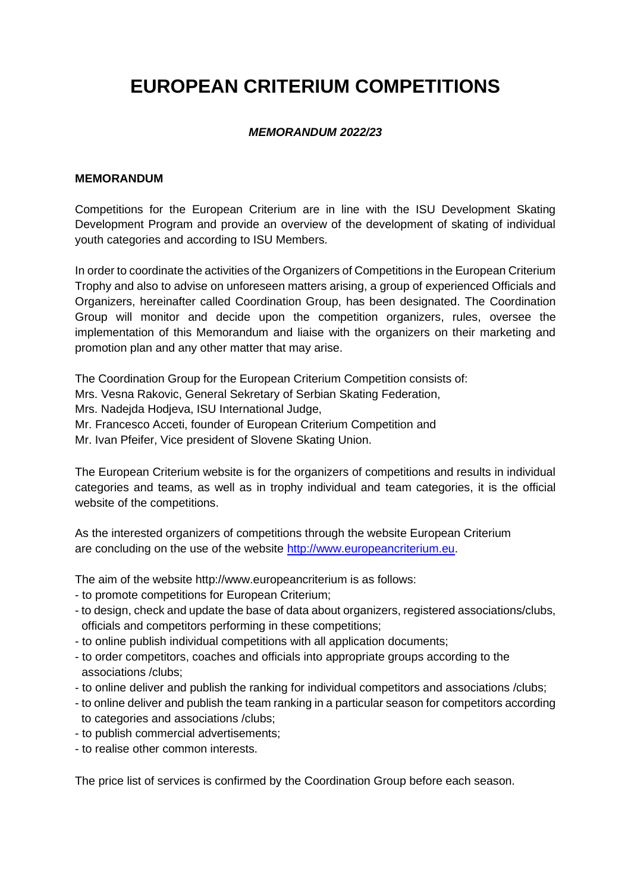# **EUROPEAN CRITERIUM COMPETITIONS**

## *MEMORANDUM 2022/23*

#### **MEMORANDUM**

Competitions for the European Criterium are in line with the ISU Development Skating Development Program and provide an overview of the development of skating of individual youth categories and according to ISU Members.

In order to coordinate the activities of the Organizers of Competitions in the European Criterium Trophy and also to advise on unforeseen matters arising, a group of experienced Officials and Organizers, hereinafter called Coordination Group, has been designated. The Coordination Group will monitor and decide upon the competition organizers, rules, oversee the implementation of this Memorandum and liaise with the organizers on their marketing and promotion plan and any other matter that may arise.

The Coordination Group for the European Criterium Competition consists of: Mrs. Vesna Rakovic, General Sekretary of Serbian Skating Federation, Mrs. Nadejda Hodjeva, ISU International Judge, Mr. Francesco Acceti, founder of European Criterium Competition and Mr. Ivan Pfeifer, Vice president of Slovene Skating Union.

The European Criterium website is for the organizers of competitions and results in individual categories and teams, as well as in trophy individual and team categories, it is the official website of the competitions.

As the interested organizers of competitions through the website European Criterium are concluding on the use of the website [http://www.europeancriterium.eu.](http://www.europeancriterium.eu/)

The aim of the website http://www.europeancriterium is as follows:

- to promote competitions for European Criterium;
- to design, check and update the base of data about organizers, registered associations/clubs, officials and competitors performing in these competitions;
- to online publish individual competitions with all application documents;
- to order competitors, coaches and officials into appropriate groups according to the associations /clubs;
- to online deliver and publish the ranking for individual competitors and associations /clubs;
- to online deliver and publish the team ranking in a particular season for competitors according to categories and associations /clubs;
- to publish commercial advertisements;
- to realise other common interests.

The price list of services is confirmed by the Coordination Group before each season.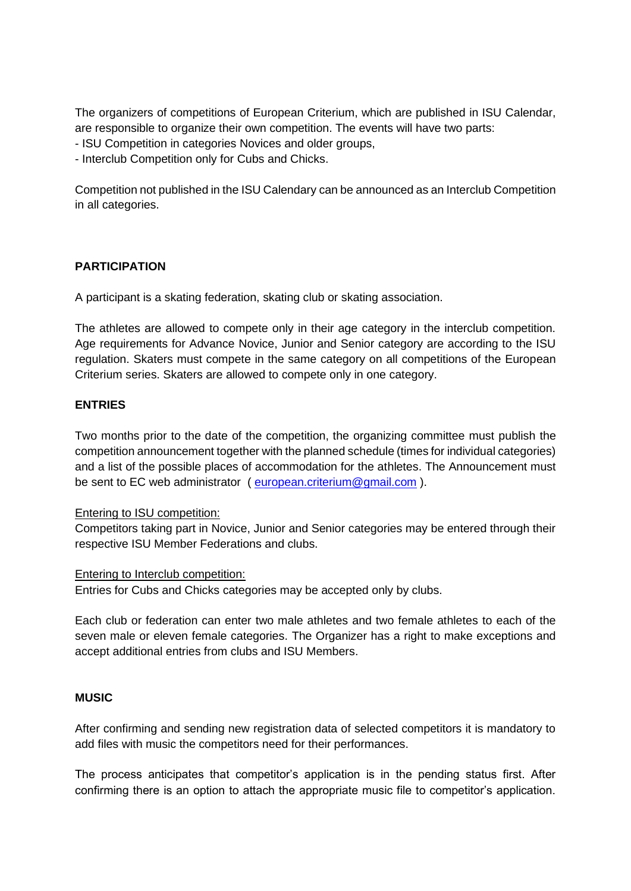The organizers of competitions of European Criterium, which are published in ISU Calendar, are responsible to organize their own competition. The events will have two parts:

- ISU Competition in categories Novices and older groups,

- Interclub Competition only for Cubs and Chicks.

Competition not published in the ISU Calendary can be announced as an Interclub Competition in all categories.

## **PARTICIPATION**

A participant is a skating federation, skating club or skating association.

The athletes are allowed to compete only in their age category in the interclub competition. Age requirements for Advance Novice, Junior and Senior category are according to the ISU regulation. Skaters must compete in the same category on all competitions of the European Criterium series. Skaters are allowed to compete only in one category.

## **ENTRIES**

Two months prior to the date of the competition, the organizing committee must publish the competition announcement together with the planned schedule (times for individual categories) and a list of the possible places of accommodation for the athletes. The Announcement must be sent to EC web administrator ( european.criterium@gmail.com ).

#### Entering to ISU competition:

Competitors taking part in Novice, Junior and Senior categories may be entered through their respective ISU Member Federations and clubs.

#### Entering to Interclub competition:

Entries for Cubs and Chicks categories may be accepted only by clubs.

Each club or federation can enter two male athletes and two female athletes to each of the seven male or eleven female categories. The Organizer has a right to make exceptions and accept additional entries from clubs and ISU Members.

#### **MUSIC**

After confirming and sending new registration data of selected competitors it is mandatory to add files with music the competitors need for their performances.

The process anticipates that competitor's application is in the pending status first. After confirming there is an option to attach the appropriate music file to competitor's application.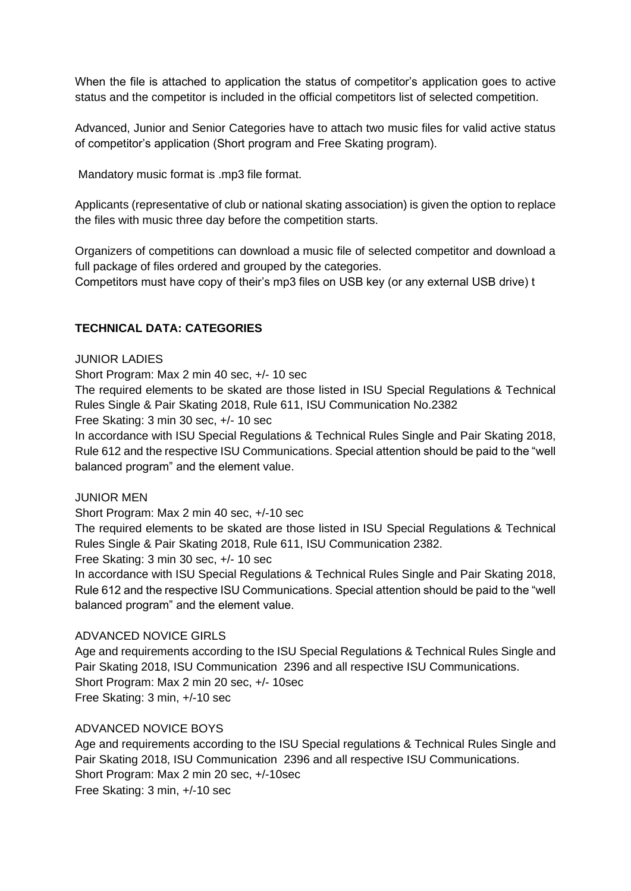When the file is attached to application the status of competitor's application goes to active status and the competitor is included in the official competitors list of selected competition.

Advanced, Junior and Senior Categories have to attach two music files for valid active status of competitor's application (Short program and Free Skating program).

Mandatory music format is .mp3 file format.

Applicants (representative of club or national skating association) is given the option to replace the files with music three day before the competition starts.

Organizers of competitions can download a music file of selected competitor and download a full package of files ordered and grouped by the categories.

Competitors must have copy of their's mp3 files on USB key (or any external USB drive) t

## **TECHNICAL DATA: CATEGORIES**

#### JUNIOR LADIES

Short Program: Max 2 min 40 sec, +/- 10 sec

The required elements to be skated are those listed in ISU Special Regulations & Technical Rules Single & Pair Skating 2018, Rule 611, ISU Communication No.2382 Free Skating: 3 min 30 sec, +/- 10 sec

In accordance with ISU Special Regulations & Technical Rules Single and Pair Skating 2018, Rule 612 and the respective ISU Communications. Special attention should be paid to the "well balanced program" and the element value.

#### JUNIOR MEN

Short Program: Max 2 min 40 sec, +/-10 sec

The required elements to be skated are those listed in ISU Special Regulations & Technical Rules Single & Pair Skating 2018, Rule 611, ISU Communication 2382.

Free Skating: 3 min 30 sec, +/- 10 sec

In accordance with ISU Special Regulations & Technical Rules Single and Pair Skating 2018, Rule 612 and the respective ISU Communications. Special attention should be paid to the "well balanced program" and the element value.

#### ADVANCED NOVICE GIRLS

Age and requirements according to the ISU Special Regulations & Technical Rules Single and Pair Skating 2018, ISU Communication 2396 and all respective ISU Communications. Short Program: Max 2 min 20 sec, +/- 10sec Free Skating: 3 min, +/-10 sec

## ADVANCED NOVICE BOYS

Age and requirements according to the ISU Special regulations & Technical Rules Single and Pair Skating 2018, ISU Communication 2396 and all respective ISU Communications. Short Program: Max 2 min 20 sec, +/-10sec Free Skating: 3 min, +/-10 sec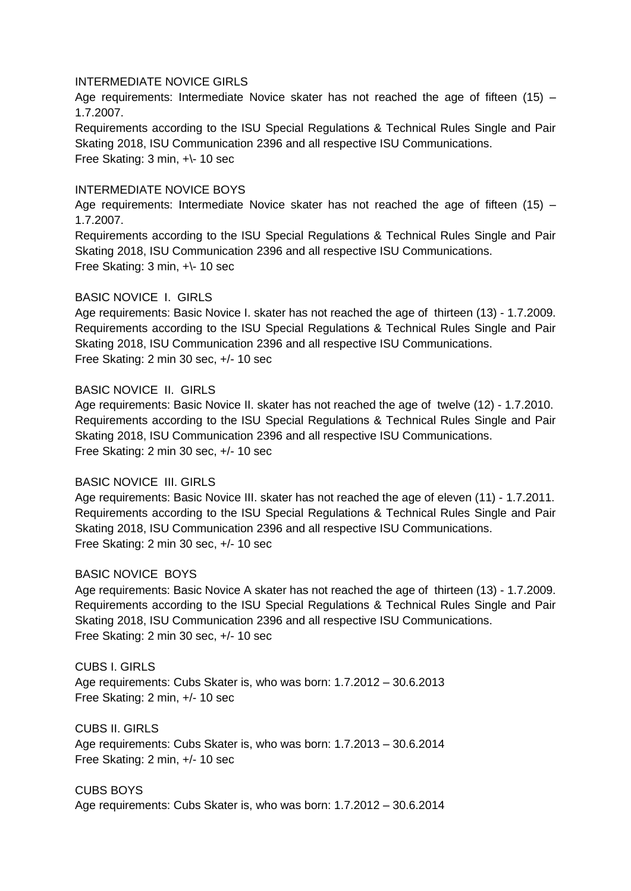#### INTERMEDIATE NOVICE GIRLS

Age requirements: Intermediate Novice skater has not reached the age of fifteen (15) – 1.7.2007.

Requirements according to the ISU Special Regulations & Technical Rules Single and Pair Skating 2018, ISU Communication 2396 and all respective ISU Communications. Free Skating: 3 min, +\- 10 sec

#### INTERMEDIATE NOVICE BOYS

Age requirements: Intermediate Novice skater has not reached the age of fifteen (15) – 1.7.2007.

Requirements according to the ISU Special Regulations & Technical Rules Single and Pair Skating 2018, ISU Communication 2396 and all respective ISU Communications. Free Skating: 3 min, +\- 10 sec

#### BASIC NOVICE I. GIRLS

Age requirements: Basic Novice I. skater has not reached the age of thirteen (13) - 1.7.2009. Requirements according to the ISU Special Regulations & Technical Rules Single and Pair Skating 2018, ISU Communication 2396 and all respective ISU Communications. Free Skating: 2 min 30 sec, +/- 10 sec

#### BASIC NOVICE II. GIRLS

Age requirements: Basic Novice II. skater has not reached the age of twelve (12) - 1.7.2010. Requirements according to the ISU Special Regulations & Technical Rules Single and Pair Skating 2018, ISU Communication 2396 and all respective ISU Communications. Free Skating: 2 min 30 sec, +/- 10 sec

#### BASIC NOVICE III. GIRLS

Age requirements: Basic Novice III. skater has not reached the age of eleven (11) - 1.7.2011. Requirements according to the ISU Special Regulations & Technical Rules Single and Pair Skating 2018, ISU Communication 2396 and all respective ISU Communications. Free Skating: 2 min 30 sec, +/- 10 sec

#### BASIC NOVICE BOYS

Age requirements: Basic Novice A skater has not reached the age of thirteen (13) - 1.7.2009. Requirements according to the ISU Special Regulations & Technical Rules Single and Pair Skating 2018, ISU Communication 2396 and all respective ISU Communications. Free Skating: 2 min 30 sec, +/- 10 sec

#### CUBS I. GIRLS

Age requirements: Cubs Skater is, who was born: 1.7.2012 – 30.6.2013 Free Skating: 2 min, +/- 10 sec

CUBS II. GIRLS Age requirements: Cubs Skater is, who was born: 1.7.2013 – 30.6.2014 Free Skating: 2 min, +/- 10 sec

#### CUBS BOYS

Age requirements: Cubs Skater is, who was born: 1.7.2012 – 30.6.2014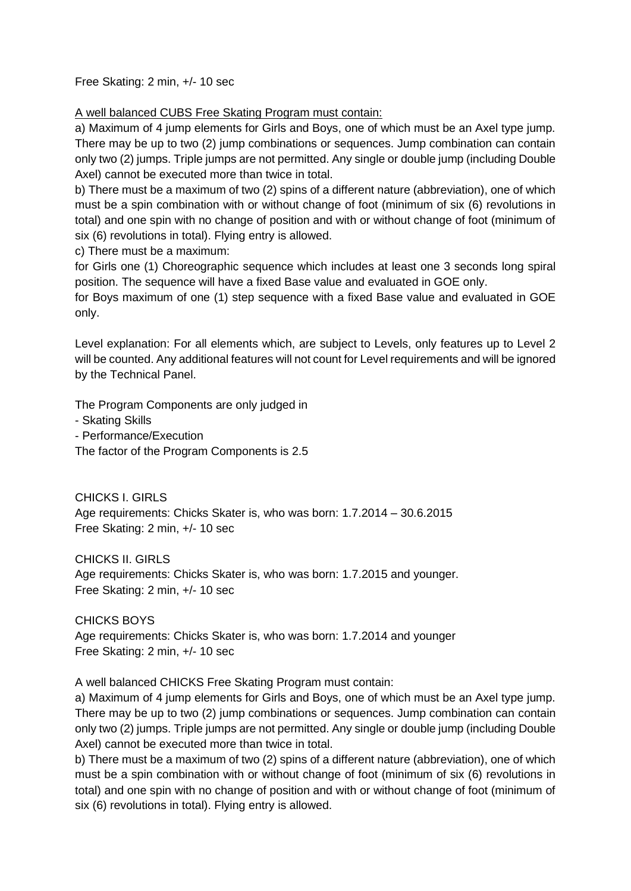Free Skating: 2 min, +/- 10 sec

A well balanced CUBS Free Skating Program must contain:

a) Maximum of 4 jump elements for Girls and Boys, one of which must be an Axel type jump. There may be up to two (2) jump combinations or sequences. Jump combination can contain only two (2) jumps. Triple jumps are not permitted. Any single or double jump (including Double Axel) cannot be executed more than twice in total.

b) There must be a maximum of two (2) spins of a different nature (abbreviation), one of which must be a spin combination with or without change of foot (minimum of six (6) revolutions in total) and one spin with no change of position and with or without change of foot (minimum of six (6) revolutions in total). Flying entry is allowed.

c) There must be a maximum:

for Girls one (1) Choreographic sequence which includes at least one 3 seconds long spiral position. The sequence will have a fixed Base value and evaluated in GOE only.

for Boys maximum of one (1) step sequence with a fixed Base value and evaluated in GOE only.

Level explanation: For all elements which, are subject to Levels, only features up to Level 2 will be counted. Any additional features will not count for Level requirements and will be ignored by the Technical Panel.

The Program Components are only judged in

- Skating Skills

- Performance/Execution

The factor of the Program Components is 2.5

CHICKS I. GIRLS Age requirements: Chicks Skater is, who was born: 1.7.2014 – 30.6.2015 Free Skating: 2 min, +/- 10 sec

CHICKS II. GIRLS Age requirements: Chicks Skater is, who was born: 1.7.2015 and younger. Free Skating: 2 min, +/- 10 sec

CHICKS BOYS Age requirements: Chicks Skater is, who was born: 1.7.2014 and younger Free Skating: 2 min, +/- 10 sec

A well balanced CHICKS Free Skating Program must contain:

a) Maximum of 4 jump elements for Girls and Boys, one of which must be an Axel type jump. There may be up to two (2) jump combinations or sequences. Jump combination can contain only two (2) jumps. Triple jumps are not permitted. Any single or double jump (including Double Axel) cannot be executed more than twice in total.

b) There must be a maximum of two (2) spins of a different nature (abbreviation), one of which must be a spin combination with or without change of foot (minimum of six (6) revolutions in total) and one spin with no change of position and with or without change of foot (minimum of six (6) revolutions in total). Flying entry is allowed.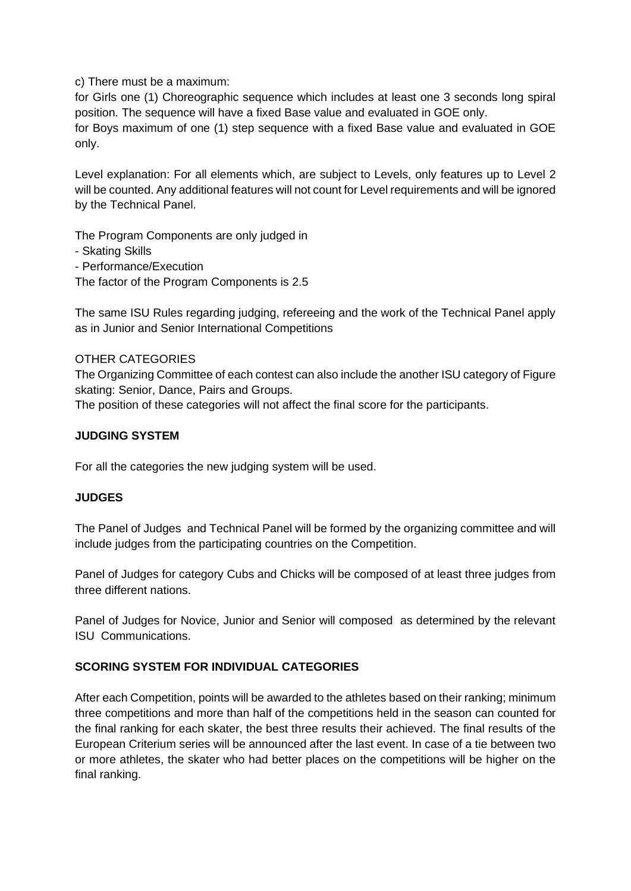c) There must be a maximum:

for Girls one (1) Choreographic sequence which includes at least one 3 seconds long spiral position. The sequence will have a fixed Base value and evaluated in GOE only.

for Boys maximum of one (1) step sequence with a fixed Base value and evaluated in GOE only.

Level explanation: For all elements which, are subject to Levels, only features up to Level 2 will be counted. Any additional features will not count for Level requirements and will be ignored by the Technical Panel.

The Program Components are only judged in

- Skating Skills
- Performance/Execution

The factor of the Program Components is 2.5

The same ISU Rules regarding judging, refereeing and the work of the Technical Panel apply as in Junior and Senior International Competitions

#### OTHER CATEGORIES

The Organizing Committee of each contest can also include the another ISU category of Figure skating: Senior, Dance, Pairs and Groups.

The position of these categories will not affect the final score for the participants.

## **JUDGING SYSTEM**

For all the categories the new judging system will be used.

#### **JUDGES**

The Panel of Judges and Technical Panel will be formed by the organizing committee and will include judges from the participating countries on the Competition.

Panel of Judges for category Cubs and Chicks will be composed of at least three judges from three different nations.

Panel of Judges for Novice, Junior and Senior will composed as determined by the relevant ISU Communications.

## **SCORING SYSTEM FOR INDIVIDUAL CATEGORIES**

After each Competition, points will be awarded to the athletes based on their ranking; minimum three competitions and more than half of the competitions held in the season can counted for the final ranking for each skater, the best three results their achieved. The final results of the European Criterium series will be announced after the last event. In case of a tie between two or more athletes, the skater who had better places on the competitions will be higher on the final ranking.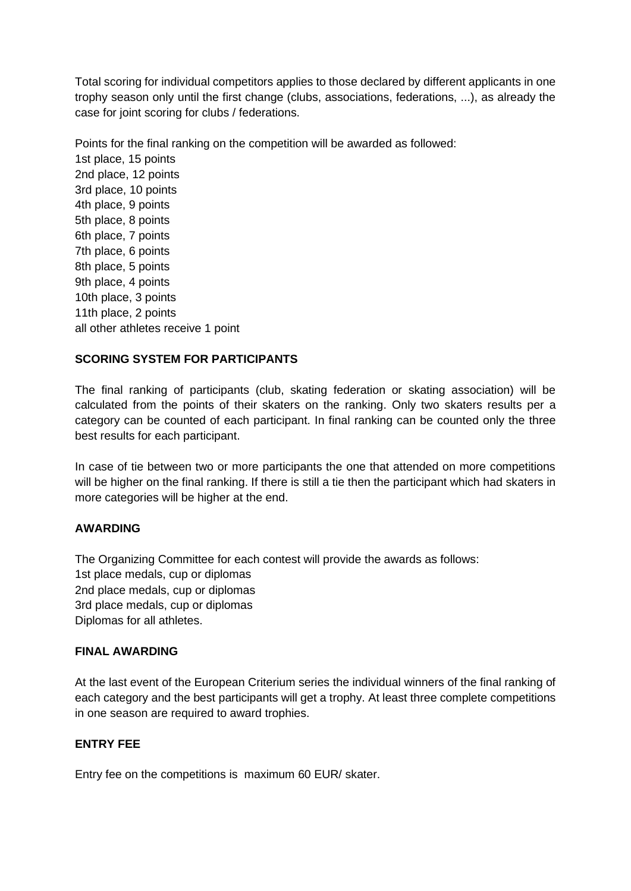Total scoring for individual competitors applies to those declared by different applicants in one trophy season only until the first change (clubs, associations, federations, ...), as already the case for joint scoring for clubs / federations.

Points for the final ranking on the competition will be awarded as followed: 1st place, 15 points 2nd place, 12 points 3rd place, 10 points 4th place, 9 points 5th place, 8 points 6th place, 7 points 7th place, 6 points 8th place, 5 points 9th place, 4 points 10th place, 3 points 11th place, 2 points all other athletes receive 1 point

#### **SCORING SYSTEM FOR PARTICIPANTS**

The final ranking of participants (club, skating federation or skating association) will be calculated from the points of their skaters on the ranking. Only two skaters results per a category can be counted of each participant. In final ranking can be counted only the three best results for each participant.

In case of tie between two or more participants the one that attended on more competitions will be higher on the final ranking. If there is still a tie then the participant which had skaters in more categories will be higher at the end.

#### **AWARDING**

The Organizing Committee for each contest will provide the awards as follows: 1st place medals, cup or diplomas 2nd place medals, cup or diplomas 3rd place medals, cup or diplomas Diplomas for all athletes.

#### **FINAL AWARDING**

At the last event of the European Criterium series the individual winners of the final ranking of each category and the best participants will get a trophy. At least three complete competitions in one season are required to award trophies.

#### **ENTRY FEE**

Entry fee on the competitions is maximum 60 EUR/ skater.